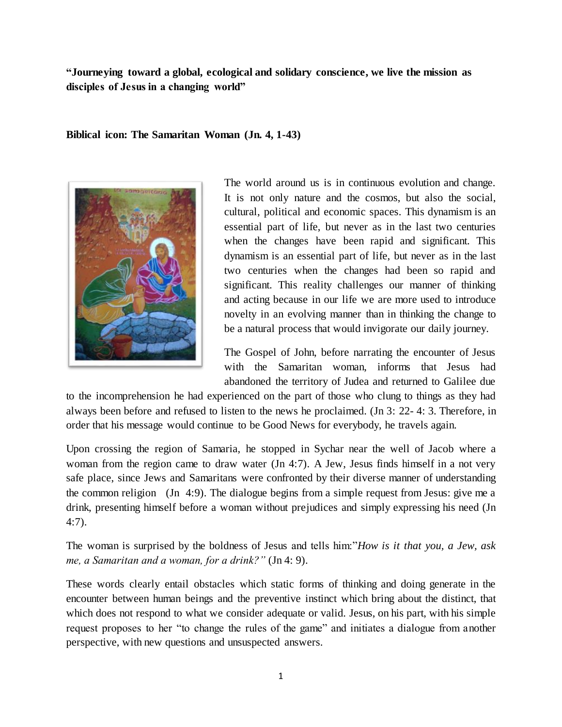**"Journeying toward a global, ecological and solidary conscience, we live the mission as disciples of Jesus in a changing world"**

**Biblical icon: The Samaritan Woman (Jn. 4, 1-43)**



The world around us is in continuous evolution and change. It is not only nature and the cosmos, but also the social, cultural, political and economic spaces. This dynamism is an essential part of life, but never as in the last two centuries when the changes have been rapid and significant. This dynamism is an essential part of life, but never as in the last two centuries when the changes had been so rapid and significant. This reality challenges our manner of thinking and acting because in our life we are more used to introduce novelty in an evolving manner than in thinking the change to be a natural process that would invigorate our daily journey.

The Gospel of John, before narrating the encounter of Jesus with the Samaritan woman, informs that Jesus had abandoned the territory of Judea and returned to Galilee due

to the incomprehension he had experienced on the part of those who clung to things as they had always been before and refused to listen to the news he proclaimed. (Jn 3: 22- 4: 3. Therefore, in order that his message would continue to be Good News for everybody, he travels again.

Upon crossing the region of Samaria, he stopped in Sychar near the well of Jacob where a woman from the region came to draw water (Jn 4:7). A Jew, Jesus finds himself in a not very safe place, since Jews and Samaritans were confronted by their diverse manner of understanding the common religion (Jn 4:9). The dialogue begins from a simple request from Jesus: give me a drink, presenting himself before a woman without prejudices and simply expressing his need (Jn 4:7).

The woman is surprised by the boldness of Jesus and tells him:"*How is it that you, a Jew, ask me, a Samaritan and a woman, for a drink?"* (Jn 4: 9).

These words clearly entail obstacles which static forms of thinking and doing generate in the encounter between human beings and the preventive instinct which bring about the distinct, that which does not respond to what we consider adequate or valid. Jesus, on his part, with his simple request proposes to her "to change the rules of the game" and initiates a dialogue from another perspective, with new questions and unsuspected answers.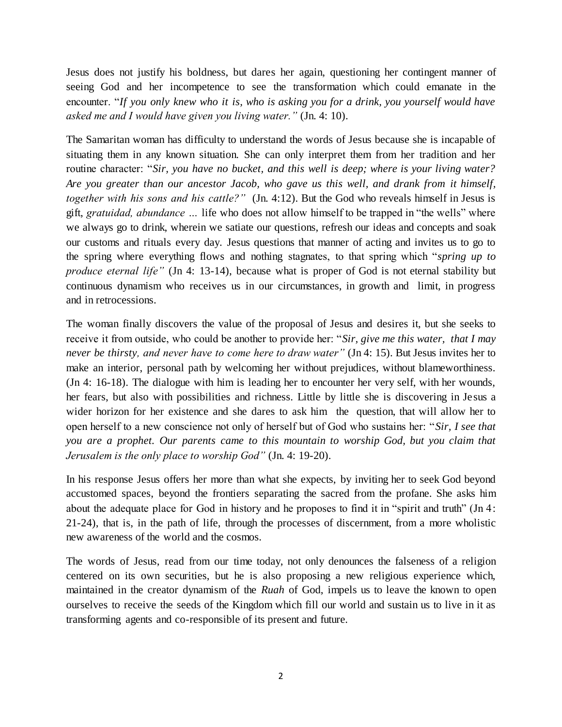Jesus does not justify his boldness, but dares her again, questioning her contingent manner of seeing God and her incompetence to see the transformation which could emanate in the encounter. "*If you only knew who it is, who is asking you for a drink, you yourself would have asked me and I would have given you living water."* (Jn. 4: 10).

The Samaritan woman has difficulty to understand the words of Jesus because she is incapable of situating them in any known situation. She can only interpret them from her tradition and her routine character: "*Sir, you have no bucket, and this well is deep; where is your living water? Are you greater than our ancestor Jacob, who gave us this well, and drank from it himself, together with his sons and his cattle?"* (Jn. 4:12). But the God who reveals himself in Jesus is gift, *gratuidad, abundance …* life who does not allow himself to be trapped in "the wells" where we always go to drink, wherein we satiate our questions, refresh our ideas and concepts and soak our customs and rituals every day. Jesus questions that manner of acting and invites us to go to the spring where everything flows and nothing stagnates, to that spring which "*spring up to produce eternal life"* (Jn 4: 13-14), because what is proper of God is not eternal stability but continuous dynamism who receives us in our circumstances, in growth and limit, in progress and in retrocessions.

The woman finally discovers the value of the proposal of Jesus and desires it, but she seeks to receive it from outside, who could be another to provide her: "*Sir, give me this water, that I may never be thirsty, and never have to come here to draw water"* (Jn 4: 15). But Jesus invites her to make an interior, personal path by welcoming her without prejudices, without blameworthiness. (Jn 4: 16-18). The dialogue with him is leading her to encounter her very self, with her wounds, her fears, but also with possibilities and richness. Little by little she is discovering in Jesus a wider horizon for her existence and she dares to ask him the question, that will allow her to open herself to a new conscience not only of herself but of God who sustains her: "*Sir, I see that you are a prophet. Our parents came to this mountain to worship God, but you claim that Jerusalem is the only place to worship God"* (Jn. 4: 19-20).

In his response Jesus offers her more than what she expects, by inviting her to seek God beyond accustomed spaces, beyond the frontiers separating the sacred from the profane. She asks him about the adequate place for God in history and he proposes to find it in "spirit and truth" (Jn 4: 21-24), that is, in the path of life, through the processes of discernment, from a more wholistic new awareness of the world and the cosmos.

The words of Jesus, read from our time today, not only denounces the falseness of a religion centered on its own securities, but he is also proposing a new religious experience which, maintained in the creator dynamism of the *Ruah* of God, impels us to leave the known to open ourselves to receive the seeds of the Kingdom which fill our world and sustain us to live in it as transforming agents and co-responsible of its present and future.